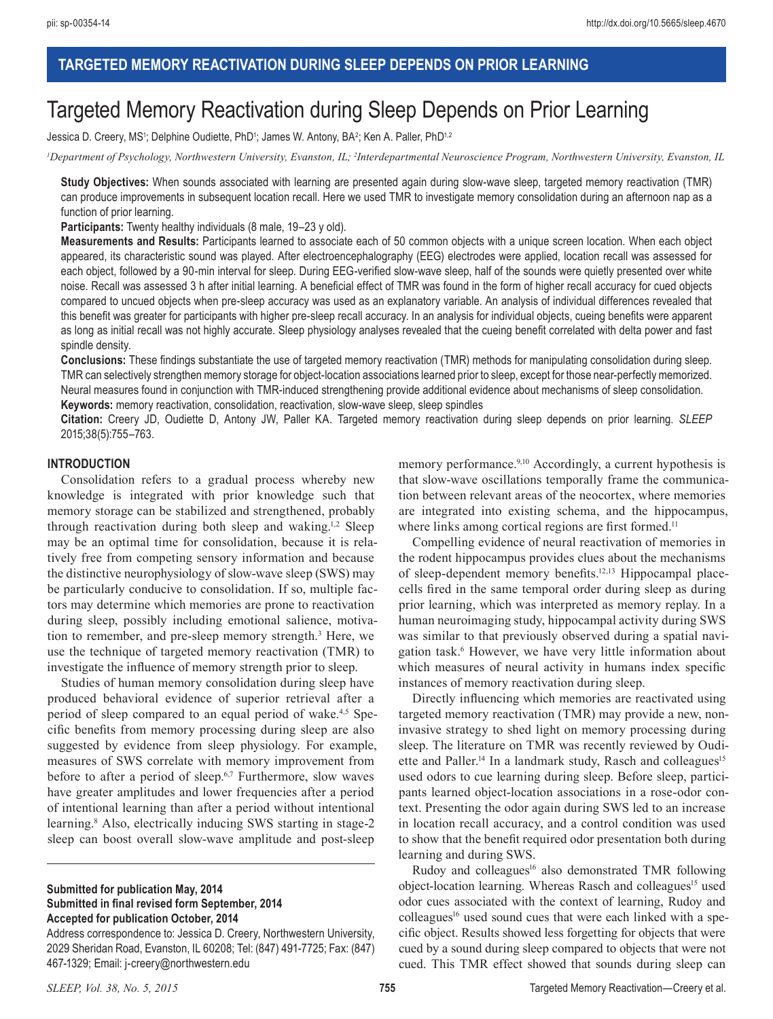# **TARGETED MEMORY REACTIVATION DURING SLEEP DEPENDS ON PRIOR LEARNING**

# Targeted Memory Reactivation during Sleep Depends on Prior Learning

Jessica D. Creery, MS<sup>1</sup>; Delphine Oudiette, PhD<sup>1</sup>; James W. Antony, BA<sup>2</sup>; Ken A. Paller, PhD<sup>1,2</sup>

*1 Department of Psychology, Northwestern University, Evanston, IL; 2 Interdepartmental Neuroscience Program, Northwestern University, Evanston, IL*

**Study Objectives:** When sounds associated with learning are presented again during slow-wave sleep, targeted memory reactivation (TMR) can produce improvements in subsequent location recall. Here we used TMR to investigate memory consolidation during an afternoon nap as a function of prior learning.

**Participants:** Twenty healthy individuals (8 male, 19–23 y old).

**Measurements and Results:** Participants learned to associate each of 50 common objects with a unique screen location. When each object appeared, its characteristic sound was played. After electroencephalography (EEG) electrodes were applied, location recall was assessed for each object, followed by a 90-min interval for sleep. During EEG-verified slow-wave sleep, half of the sounds were quietly presented over white noise. Recall was assessed 3 h after initial learning. A beneficial effect of TMR was found in the form of higher recall accuracy for cued objects compared to uncued objects when pre-sleep accuracy was used as an explanatory variable. An analysis of individual differences revealed that this benefit was greater for participants with higher pre-sleep recall accuracy. In an analysis for individual objects, cueing benefits were apparent as long as initial recall was not highly accurate. Sleep physiology analyses revealed that the cueing benefit correlated with delta power and fast spindle density.

**Conclusions:** These findings substantiate the use of targeted memory reactivation (TMR) methods for manipulating consolidation during sleep. TMR can selectively strengthen memory storage for object-location associations learned prior to sleep, except for those near-perfectly memorized. Neural measures found in conjunction with TMR-induced strengthening provide additional evidence about mechanisms of sleep consolidation. **Keywords:** memory reactivation, consolidation, reactivation, slow-wave sleep, sleep spindles

**Citation:** Creery JD, Oudiette D, Antony JW, Paller KA. Targeted memory reactivation during sleep depends on prior learning. *SLEEP* 2015;38(5):755–763.

# **INTRODUCTION**

Consolidation refers to a gradual process whereby new knowledge is integrated with prior knowledge such that memory storage can be stabilized and strengthened, probably through reactivation during both sleep and waking.<sup>1,2</sup> Sleep may be an optimal time for consolidation, because it is relatively free from competing sensory information and because the distinctive neurophysiology of slow-wave sleep (SWS) may be particularly conducive to consolidation. If so, multiple factors may determine which memories are prone to reactivation during sleep, possibly including emotional salience, motivation to remember, and pre-sleep memory strength.<sup>3</sup> Here, we use the technique of targeted memory reactivation (TMR) to investigate the influence of memory strength prior to sleep.

Studies of human memory consolidation during sleep have produced behavioral evidence of superior retrieval after a period of sleep compared to an equal period of wake.4,5 Specific benefits from memory processing during sleep are also suggested by evidence from sleep physiology. For example, measures of SWS correlate with memory improvement from before to after a period of sleep.<sup>6,7</sup> Furthermore, slow waves have greater amplitudes and lower frequencies after a period of intentional learning than after a period without intentional learning.<sup>8</sup> Also, electrically inducing SWS starting in stage-2 sleep can boost overall slow-wave amplitude and post-sleep

**Submitted for publication May, 2014 Submitted in final revised form September, 2014 Accepted for publication October, 2014**

Address correspondence to: Jessica D. Creery, Northwestern University, 2029 Sheridan Road, Evanston, IL 60208; Tel: (847) 491-7725; Fax: (847) 467-1329; Email: j-creery@northwestern.edu

memory performance.<sup>9,10</sup> Accordingly, a current hypothesis is that slow-wave oscillations temporally frame the communication between relevant areas of the neocortex, where memories are integrated into existing schema, and the hippocampus, where links among cortical regions are first formed.<sup>11</sup>

Compelling evidence of neural reactivation of memories in the rodent hippocampus provides clues about the mechanisms of sleep-dependent memory benefits.12,13 Hippocampal placecells fired in the same temporal order during sleep as during prior learning, which was interpreted as memory replay. In a human neuroimaging study, hippocampal activity during SWS was similar to that previously observed during a spatial navigation task.<sup>6</sup> However, we have very little information about which measures of neural activity in humans index specific instances of memory reactivation during sleep.

Directly influencing which memories are reactivated using targeted memory reactivation (TMR) may provide a new, noninvasive strategy to shed light on memory processing during sleep. The literature on TMR was recently reviewed by Oudiette and Paller.<sup>14</sup> In a landmark study, Rasch and colleagues<sup>15</sup> used odors to cue learning during sleep. Before sleep, participants learned object-location associations in a rose-odor context. Presenting the odor again during SWS led to an increase in location recall accuracy, and a control condition was used to show that the benefit required odor presentation both during learning and during SWS.

Rudoy and colleagues<sup>16</sup> also demonstrated TMR following object-location learning. Whereas Rasch and colleagues<sup>15</sup> used odor cues associated with the context of learning, Rudoy and colleagues<sup>16</sup> used sound cues that were each linked with a specific object. Results showed less forgetting for objects that were cued by a sound during sleep compared to objects that were not cued. This TMR effect showed that sounds during sleep can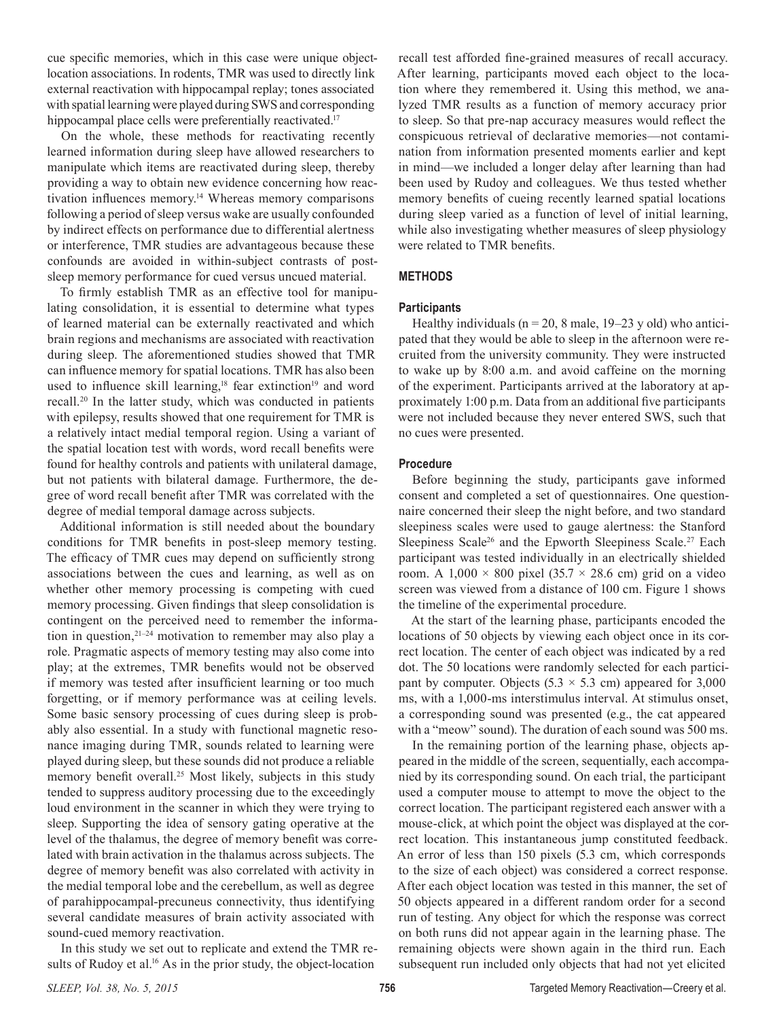cue specific memories, which in this case were unique objectlocation associations. In rodents, TMR was used to directly link external reactivation with hippocampal replay; tones associated with spatial learning were played during SWS and corresponding hippocampal place cells were preferentially reactivated.<sup>17</sup>

On the whole, these methods for reactivating recently learned information during sleep have allowed researchers to manipulate which items are reactivated during sleep, thereby providing a way to obtain new evidence concerning how reactivation influences memory.<sup>14</sup> Whereas memory comparisons following a period of sleep versus wake are usually confounded by indirect effects on performance due to differential alertness or interference, TMR studies are advantageous because these confounds are avoided in within-subject contrasts of postsleep memory performance for cued versus uncued material.

To firmly establish TMR as an effective tool for manipulating consolidation, it is essential to determine what types of learned material can be externally reactivated and which brain regions and mechanisms are associated with reactivation during sleep. The aforementioned studies showed that TMR can influence memory for spatial locations. TMR has also been used to influence skill learning, $18$  fear extinction<sup>19</sup> and word recall.20 In the latter study, which was conducted in patients with epilepsy, results showed that one requirement for TMR is a relatively intact medial temporal region. Using a variant of the spatial location test with words, word recall benefits were found for healthy controls and patients with unilateral damage, but not patients with bilateral damage. Furthermore, the degree of word recall benefit after TMR was correlated with the degree of medial temporal damage across subjects.

Additional information is still needed about the boundary conditions for TMR benefits in post-sleep memory testing. The efficacy of TMR cues may depend on sufficiently strong associations between the cues and learning, as well as on whether other memory processing is competing with cued memory processing. Given findings that sleep consolidation is contingent on the perceived need to remember the information in question,21–24 motivation to remember may also play a role. Pragmatic aspects of memory testing may also come into play; at the extremes, TMR benefits would not be observed if memory was tested after insufficient learning or too much forgetting, or if memory performance was at ceiling levels. Some basic sensory processing of cues during sleep is probably also essential. In a study with functional magnetic resonance imaging during TMR, sounds related to learning were played during sleep, but these sounds did not produce a reliable memory benefit overall.<sup>25</sup> Most likely, subjects in this study tended to suppress auditory processing due to the exceedingly loud environment in the scanner in which they were trying to sleep. Supporting the idea of sensory gating operative at the level of the thalamus, the degree of memory benefit was correlated with brain activation in the thalamus across subjects. The degree of memory benefit was also correlated with activity in the medial temporal lobe and the cerebellum, as well as degree of parahippocampal-precuneus connectivity, thus identifying several candidate measures of brain activity associated with sound-cued memory reactivation.

In this study we set out to replicate and extend the TMR results of Rudoy et al.<sup>16</sup> As in the prior study, the object-location

recall test afforded fine-grained measures of recall accuracy. After learning, participants moved each object to the location where they remembered it. Using this method, we analyzed TMR results as a function of memory accuracy prior to sleep. So that pre-nap accuracy measures would reflect the conspicuous retrieval of declarative memories—not contamination from information presented moments earlier and kept in mind—we included a longer delay after learning than had been used by Rudoy and colleagues. We thus tested whether memory benefits of cueing recently learned spatial locations during sleep varied as a function of level of initial learning, while also investigating whether measures of sleep physiology were related to TMR benefits.

# **METHODS**

# **Participants**

Healthy individuals ( $n = 20$ , 8 male, 19–23 y old) who anticipated that they would be able to sleep in the afternoon were recruited from the university community. They were instructed to wake up by 8:00 a.m. and avoid caffeine on the morning of the experiment. Participants arrived at the laboratory at approximately 1:00 p.m. Data from an additional five participants were not included because they never entered SWS, such that no cues were presented.

# **Procedure**

Before beginning the study, participants gave informed consent and completed a set of questionnaires. One questionnaire concerned their sleep the night before, and two standard sleepiness scales were used to gauge alertness: the Stanford Sleepiness Scale<sup>26</sup> and the Epworth Sleepiness Scale.<sup>27</sup> Each participant was tested individually in an electrically shielded room. A  $1,000 \times 800$  pixel (35.7  $\times$  28.6 cm) grid on a video screen was viewed from a distance of 100 cm. Figure 1 shows the timeline of the experimental procedure.

At the start of the learning phase, participants encoded the locations of 50 objects by viewing each object once in its correct location. The center of each object was indicated by a red dot. The 50 locations were randomly selected for each participant by computer. Objects  $(5.3 \times 5.3 \text{ cm})$  appeared for 3,000 ms, with a 1,000-ms interstimulus interval. At stimulus onset, a corresponding sound was presented (e.g., the cat appeared with a "meow" sound). The duration of each sound was 500 ms.

In the remaining portion of the learning phase, objects appeared in the middle of the screen, sequentially, each accompanied by its corresponding sound. On each trial, the participant used a computer mouse to attempt to move the object to the correct location. The participant registered each answer with a mouse-click, at which point the object was displayed at the correct location. This instantaneous jump constituted feedback. An error of less than 150 pixels (5.3 cm, which corresponds to the size of each object) was considered a correct response. After each object location was tested in this manner, the set of 50 objects appeared in a different random order for a second run of testing. Any object for which the response was correct on both runs did not appear again in the learning phase. The remaining objects were shown again in the third run. Each subsequent run included only objects that had not yet elicited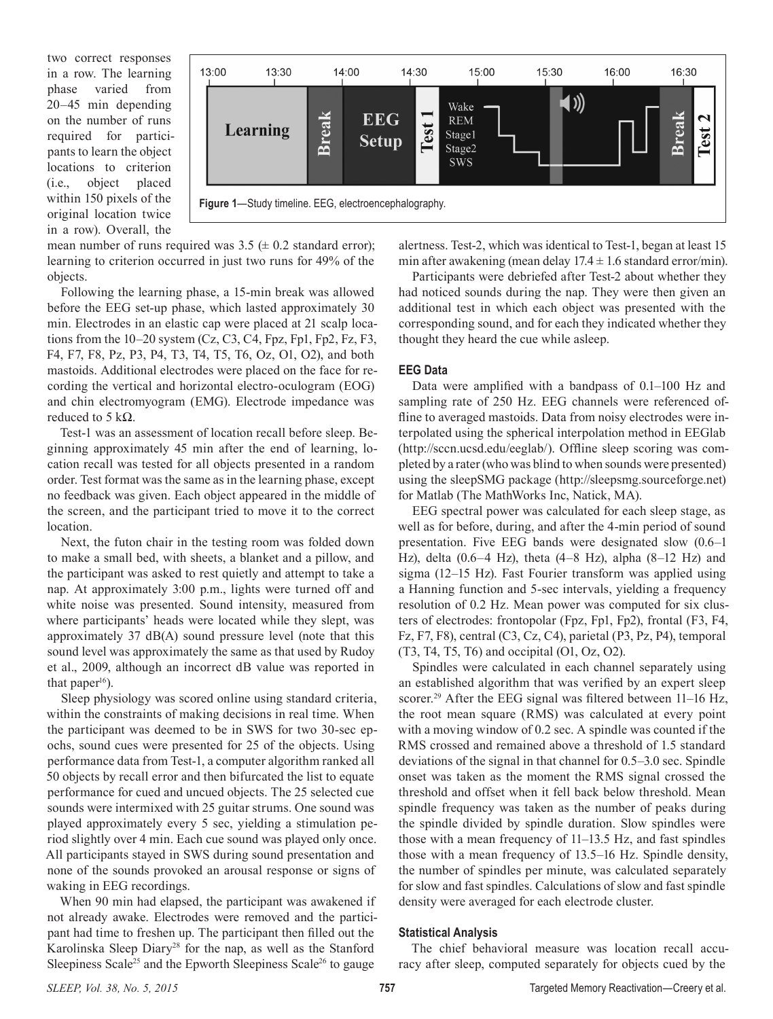two correct responses in a row. The learning phase varied from 20–45 min depending on the number of runs required for participants to learn the object locations to criterion (i.e., object placed within 150 pixels of the original location twice in a row). Overall, the



mean number of runs required was  $3.5 \ (\pm 0.2 \text{ standard error})$ ; learning to criterion occurred in just two runs for 49% of the objects.

Following the learning phase, a 15-min break was allowed before the EEG set-up phase, which lasted approximately 30 min. Electrodes in an elastic cap were placed at 21 scalp locations from the 10–20 system (Cz, C3, C4, Fpz, Fp1, Fp2, Fz, F3, F4, F7, F8, Pz, P3, P4, T3, T4, T5, T6, Oz, O1, O2), and both mastoids. Additional electrodes were placed on the face for recording the vertical and horizontal electro-oculogram (EOG) and chin electromyogram (EMG). Electrode impedance was reduced to 5 kΩ.

Test-1 was an assessment of location recall before sleep. Beginning approximately 45 min after the end of learning, location recall was tested for all objects presented in a random order. Test format was the same as in the learning phase, except no feedback was given. Each object appeared in the middle of the screen, and the participant tried to move it to the correct location.

Next, the futon chair in the testing room was folded down to make a small bed, with sheets, a blanket and a pillow, and the participant was asked to rest quietly and attempt to take a nap. At approximately 3:00 p.m., lights were turned off and white noise was presented. Sound intensity, measured from where participants' heads were located while they slept, was approximately 37 dB(A) sound pressure level (note that this sound level was approximately the same as that used by Rudoy et al., 2009, although an incorrect dB value was reported in that paper $16$ ).

Sleep physiology was scored online using standard criteria, within the constraints of making decisions in real time. When the participant was deemed to be in SWS for two 30-sec epochs, sound cues were presented for 25 of the objects. Using performance data from Test-1, a computer algorithm ranked all 50 objects by recall error and then bifurcated the list to equate performance for cued and uncued objects. The 25 selected cue sounds were intermixed with 25 guitar strums. One sound was played approximately every 5 sec, yielding a stimulation period slightly over 4 min. Each cue sound was played only once. All participants stayed in SWS during sound presentation and none of the sounds provoked an arousal response or signs of waking in EEG recordings.

When 90 min had elapsed, the participant was awakened if not already awake. Electrodes were removed and the participant had time to freshen up. The participant then filled out the Karolinska Sleep Diary<sup>28</sup> for the nap, as well as the Stanford Sleepiness Scale<sup>25</sup> and the Epworth Sleepiness Scale<sup>26</sup> to gauge

alertness. Test-2, which was identical to Test-1, began at least 15 min after awakening (mean delay  $17.4 \pm 1.6$  standard error/min).

Participants were debriefed after Test-2 about whether they had noticed sounds during the nap. They were then given an additional test in which each object was presented with the corresponding sound, and for each they indicated whether they thought they heard the cue while asleep.

# **EEG Data**

Data were amplified with a bandpass of 0.1–100 Hz and sampling rate of 250 Hz. EEG channels were referenced offline to averaged mastoids. Data from noisy electrodes were interpolated using the spherical interpolation method in EEGlab (http://sccn.ucsd.edu/eeglab/). Offline sleep scoring was completed by a rater (who was blind to when sounds were presented) using the sleepSMG package (http://sleepsmg.sourceforge.net) for Matlab (The MathWorks Inc, Natick, MA).

EEG spectral power was calculated for each sleep stage, as well as for before, during, and after the 4-min period of sound presentation. Five EEG bands were designated slow (0.6–1 Hz), delta  $(0.6-4$  Hz), theta  $(4-8$  Hz), alpha  $(8-12$  Hz) and sigma (12–15 Hz). Fast Fourier transform was applied using a Hanning function and 5-sec intervals, yielding a frequency resolution of 0.2 Hz. Mean power was computed for six clusters of electrodes: frontopolar (Fpz, Fp1, Fp2), frontal (F3, F4, Fz, F7, F8), central (C3, Cz, C4), parietal (P3, Pz, P4), temporal (T3, T4, T5, T6) and occipital (O1, Oz, O2).

Spindles were calculated in each channel separately using an established algorithm that was verified by an expert sleep scorer.<sup>29</sup> After the EEG signal was filtered between 11–16 Hz, the root mean square (RMS) was calculated at every point with a moving window of 0.2 sec. A spindle was counted if the RMS crossed and remained above a threshold of 1.5 standard deviations of the signal in that channel for 0.5–3.0 sec. Spindle onset was taken as the moment the RMS signal crossed the threshold and offset when it fell back below threshold. Mean spindle frequency was taken as the number of peaks during the spindle divided by spindle duration. Slow spindles were those with a mean frequency of 11–13.5 Hz, and fast spindles those with a mean frequency of 13.5–16 Hz. Spindle density, the number of spindles per minute, was calculated separately for slow and fast spindles. Calculations of slow and fast spindle density were averaged for each electrode cluster.

# **Statistical Analysis**

The chief behavioral measure was location recall accuracy after sleep, computed separately for objects cued by the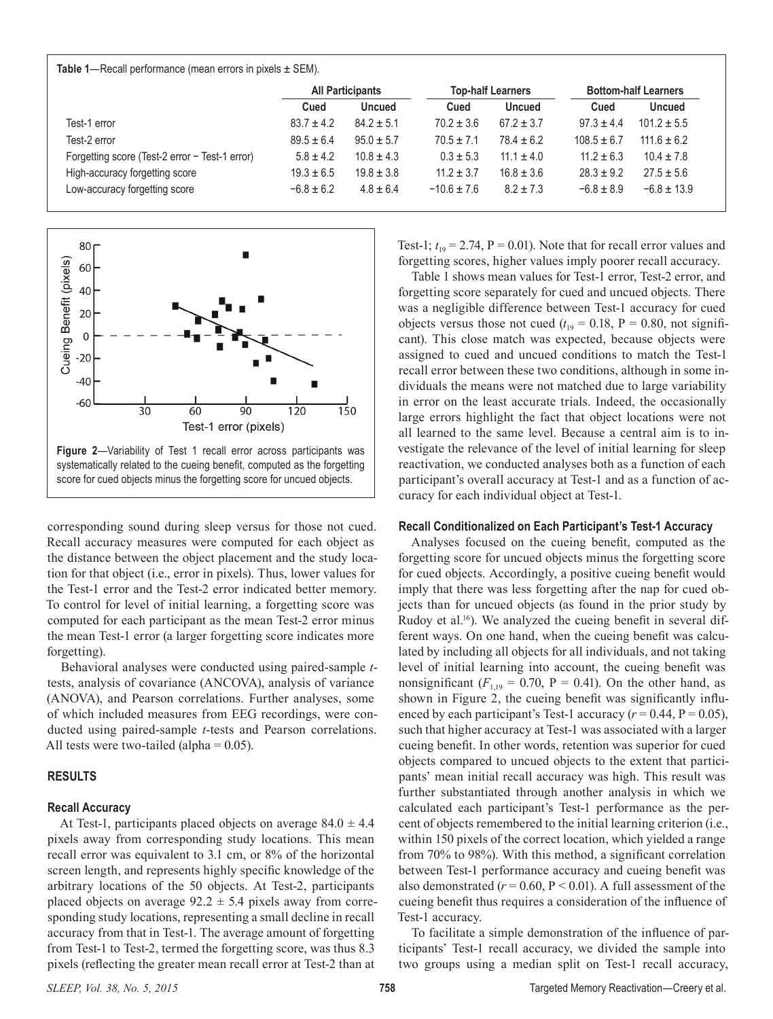| <b>Table 1</b> —Recall performance (mean errors in pixels $\pm$ SEM). |  |  |
|-----------------------------------------------------------------------|--|--|
|-----------------------------------------------------------------------|--|--|

|                                                | <b>All Participants</b> |                |                 | <b>Top-half Learners</b> | <b>Bottom-half Learners</b> |                 |  |
|------------------------------------------------|-------------------------|----------------|-----------------|--------------------------|-----------------------------|-----------------|--|
|                                                | Cued                    | <b>Uncued</b>  | Cued            | <b>Uncued</b>            | Cued                        | <b>Uncued</b>   |  |
| Test-1 error                                   | $83.7 \pm 4.2$          | $84.2 \pm 5.1$ | $70.2 \pm 3.6$  | $67.2 \pm 3.7$           | $97.3 \pm 4.4$              | $101.2 \pm 5.5$ |  |
| Test-2 error                                   | $89.5 \pm 6.4$          | $95.0 \pm 5.7$ | $70.5 \pm 7.1$  | $78.4 \pm 6.2$           | $108.5 \pm 6.7$             | $111.6 \pm 6.2$ |  |
| Forgetting score (Test-2 error - Test-1 error) | $5.8 \pm 4.2$           | $10.8 \pm 4.3$ | $0.3 \pm 5.3$   | $11.1 \pm 4.0$           | $11.2 \pm 6.3$              | $10.4 \pm 7.8$  |  |
| High-accuracy forgetting score                 | $19.3 \pm 6.5$          | $19.8 \pm 3.8$ | $11.2 \pm 3.7$  | $16.8 \pm 3.6$           | $28.3 \pm 9.2$              | $27.5 \pm 5.6$  |  |
| Low-accuracy forgetting score                  | $-6.8 \pm 6.2$          | $4.8 \pm 6.4$  | $-10.6 \pm 7.6$ | $8.2 \pm 7.3$            | $-6.8 \pm 8.9$              | $-6.8 \pm 13.9$ |  |



corresponding sound during sleep versus for those not cued. Recall accuracy measures were computed for each object as the distance between the object placement and the study location for that object (i.e., error in pixels). Thus, lower values for the Test-1 error and the Test-2 error indicated better memory. To control for level of initial learning, a forgetting score was computed for each participant as the mean Test-2 error minus the mean Test-1 error (a larger forgetting score indicates more forgetting).

Behavioral analyses were conducted using paired-sample *t*tests, analysis of covariance (ANCOVA), analysis of variance (ANOVA), and Pearson correlations. Further analyses, some of which included measures from EEG recordings, were conducted using paired-sample *t*-tests and Pearson correlations. All tests were two-tailed (alpha  $= 0.05$ ).

# **RESULTS**

# **Recall Accuracy**

At Test-1, participants placed objects on average  $84.0 \pm 4.4$ pixels away from corresponding study locations. This mean recall error was equivalent to 3.1 cm, or 8% of the horizontal screen length, and represents highly specific knowledge of the arbitrary locations of the 50 objects. At Test-2, participants placed objects on average  $92.2 \pm 5.4$  pixels away from corresponding study locations, representing a small decline in recall accuracy from that in Test-1. The average amount of forgetting from Test-1 to Test-2, termed the forgetting score, was thus 8.3 pixels (reflecting the greater mean recall error at Test-2 than at

Test-1;  $t_{19} = 2.74$ ,  $P = 0.01$ ). Note that for recall error values and forgetting scores, higher values imply poorer recall accuracy.

Table 1 shows mean values for Test-1 error, Test-2 error, and forgetting score separately for cued and uncued objects. There was a negligible difference between Test-1 accuracy for cued objects versus those not cued  $(t_{19} = 0.18, P = 0.80, \text{ not signifi-}$ cant). This close match was expected, because objects were assigned to cued and uncued conditions to match the Test-1 recall error between these two conditions, although in some individuals the means were not matched due to large variability in error on the least accurate trials. Indeed, the occasionally large errors highlight the fact that object locations were not all learned to the same level. Because a central aim is to investigate the relevance of the level of initial learning for sleep reactivation, we conducted analyses both as a function of each participant's overall accuracy at Test-1 and as a function of accuracy for each individual object at Test-1.

#### **Recall Conditionalized on Each Participant's Test-1 Accuracy**

Analyses focused on the cueing benefit, computed as the forgetting score for uncued objects minus the forgetting score for cued objects. Accordingly, a positive cueing benefit would imply that there was less forgetting after the nap for cued objects than for uncued objects (as found in the prior study by Rudoy et al.<sup>16</sup>). We analyzed the cueing benefit in several different ways. On one hand, when the cueing benefit was calculated by including all objects for all individuals, and not taking level of initial learning into account, the cueing benefit was nonsignificant  $(F_{1,19} = 0.70, P = 0.41)$ . On the other hand, as shown in Figure 2, the cueing benefit was significantly influenced by each participant's Test-1 accuracy  $(r = 0.44, P = 0.05)$ , such that higher accuracy at Test-1 was associated with a larger cueing benefit. In other words, retention was superior for cued objects compared to uncued objects to the extent that participants' mean initial recall accuracy was high. This result was further substantiated through another analysis in which we calculated each participant's Test-1 performance as the percent of objects remembered to the initial learning criterion (i.e., within 150 pixels of the correct location, which yielded a range from 70% to 98%). With this method, a significant correlation between Test-1 performance accuracy and cueing benefit was also demonstrated  $(r = 0.60, P \le 0.01)$ . A full assessment of the cueing benefit thus requires a consideration of the influence of Test-1 accuracy.

To facilitate a simple demonstration of the influence of participants' Test-1 recall accuracy, we divided the sample into two groups using a median split on Test-1 recall accuracy,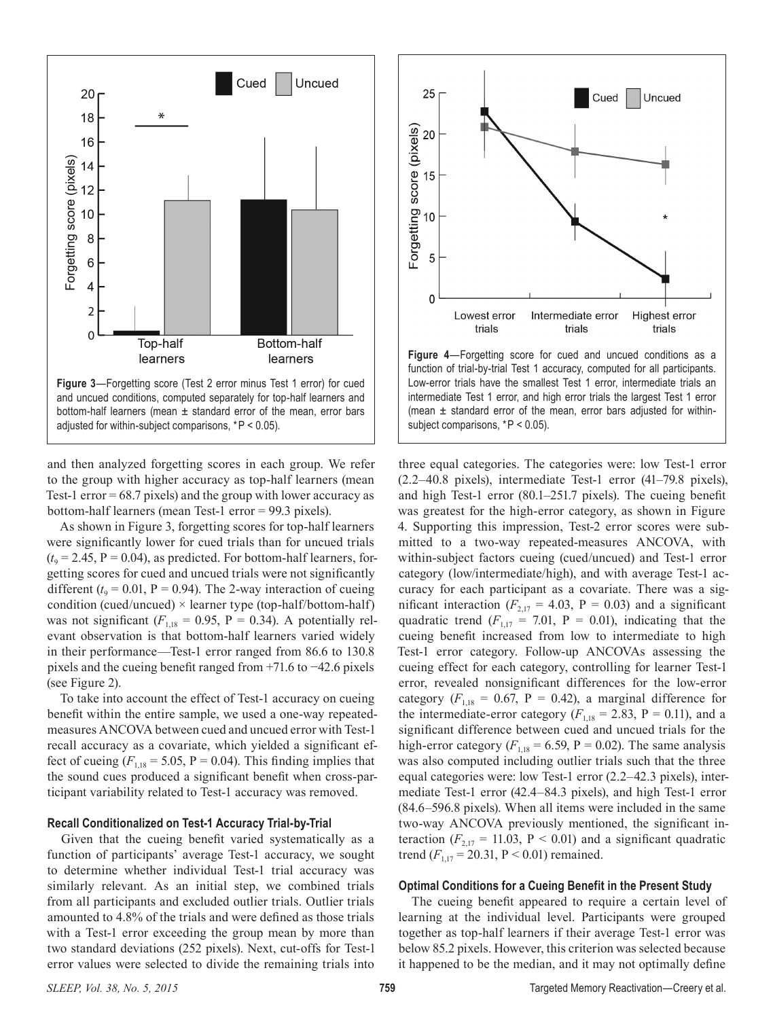

and then analyzed forgetting scores in each group. We refer to the group with higher accuracy as top-half learners (mean Test-1 error  $= 68.7$  pixels) and the group with lower accuracy as bottom-half learners (mean Test-1 error = 99.3 pixels).

As shown in Figure 3, forgetting scores for top-half learners were significantly lower for cued trials than for uncued trials  $(t_9 = 2.45, P = 0.04)$ , as predicted. For bottom-half learners, forgetting scores for cued and uncued trials were not significantly different  $(t_9 = 0.01, P = 0.94)$ . The 2-way interaction of cueing condition (cued/uncued)  $\times$  learner type (top-half/bottom-half) was not significant ( $F_{1,18} = 0.95$ , P = 0.34). A potentially relevant observation is that bottom-half learners varied widely in their performance—Test-1 error ranged from 86.6 to 130.8 pixels and the cueing benefit ranged from +71.6 to −42.6 pixels (see Figure 2).

To take into account the effect of Test-1 accuracy on cueing benefit within the entire sample, we used a one-way repeatedmeasures ANCOVA between cued and uncued error with Test-1 recall accuracy as a covariate, which yielded a significant effect of cueing  $(F_{1,18} = 5.05, P = 0.04)$ . This finding implies that the sound cues produced a significant benefit when cross-participant variability related to Test-1 accuracy was removed.

# **Recall Conditionalized on Test-1 Accuracy Trial-by-Trial**

Given that the cueing benefit varied systematically as a function of participants' average Test-1 accuracy, we sought to determine whether individual Test-1 trial accuracy was similarly relevant. As an initial step, we combined trials from all participants and excluded outlier trials. Outlier trials amounted to 4.8% of the trials and were defined as those trials with a Test-1 error exceeding the group mean by more than two standard deviations (252 pixels). Next, cut-offs for Test-1 error values were selected to divide the remaining trials into



**Figure 4**—Forgetting score for cued and uncued conditions as a function of trial-by-trial Test 1 accuracy, computed for all participants. Low-error trials have the smallest Test 1 error, intermediate trials an intermediate Test 1 error, and high error trials the largest Test 1 error (mean  $\pm$  standard error of the mean, error bars adjusted for withinsubject comparisons,  $*P < 0.05$ ).

three equal categories. The categories were: low Test-1 error (2.2–40.8 pixels), intermediate Test-1 error (41–79.8 pixels), and high Test-1 error (80.1–251.7 pixels). The cueing benefit was greatest for the high-error category, as shown in Figure 4. Supporting this impression, Test-2 error scores were submitted to a two-way repeated-measures ANCOVA, with within-subject factors cueing (cued/uncued) and Test-1 error category (low/intermediate/high), and with average Test-1 accuracy for each participant as a covariate. There was a significant interaction  $(F_{2,17} = 4.03, P = 0.03)$  and a significant quadratic trend  $(F_{1,17} = 7.01, P = 0.01)$ , indicating that the cueing benefit increased from low to intermediate to high Test-1 error category. Follow-up ANCOVAs assessing the cueing effect for each category, controlling for learner Test-1 error, revealed nonsignificant differences for the low-error category ( $F_{1,18} = 0.67$ , P = 0.42), a marginal difference for the intermediate-error category ( $F_{1,18} = 2.83$ , P = 0.11), and a significant difference between cued and uncued trials for the high-error category  $(F_{118} = 6.59, P = 0.02)$ . The same analysis was also computed including outlier trials such that the three equal categories were: low Test-1 error (2.2–42.3 pixels), intermediate Test-1 error (42.4–84.3 pixels), and high Test-1 error (84.6–596.8 pixels). When all items were included in the same two-way ANCOVA previously mentioned, the significant interaction ( $F_{2,17} = 11.03$ ,  $P < 0.01$ ) and a significant quadratic trend  $(F_{1,17} = 20.31, P \le 0.01)$  remained.

#### **Optimal Conditions for a Cueing Benefit in the Present Study**

The cueing benefit appeared to require a certain level of learning at the individual level. Participants were grouped together as top-half learners if their average Test-1 error was below 85.2 pixels. However, this criterion was selected because it happened to be the median, and it may not optimally define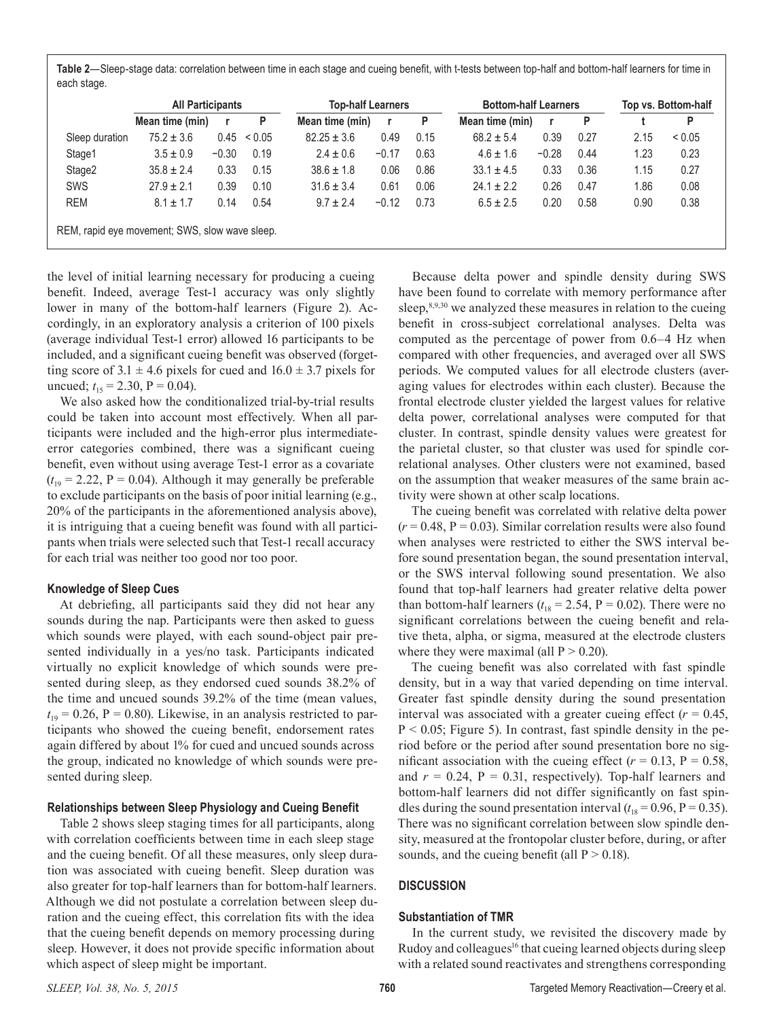**Table 2**—Sleep-stage data: correlation between time in each stage and cueing benefit, with t-tests between top-half and bottom-half learners for time in each stage.

|                                                | <b>All Participants</b> |         |        | <b>Top-half Learners</b> |         |      | <b>Bottom-half Learners</b> |         |      | Top vs. Bottom-half |        |
|------------------------------------------------|-------------------------|---------|--------|--------------------------|---------|------|-----------------------------|---------|------|---------------------|--------|
|                                                | Mean time (min)         |         | P      | Mean time (min)          |         | P    | Mean time (min)             |         | P    |                     | P      |
| Sleep duration                                 | $75.2 \pm 3.6$          | 0.45    | < 0.05 | $82.25 \pm 3.6$          | 0.49    | 0.15 | $68.2 \pm 5.4$              | 0.39    | 0.27 | 2.15                | < 0.05 |
| Stage1                                         | $3.5 \pm 0.9$           | $-0.30$ | 0.19   | $2.4 \pm 0.6$            | $-0.17$ | 0.63 | $4.6 \pm 1.6$               | $-0.28$ | 0.44 | 1.23                | 0.23   |
| Stage2                                         | $35.8 \pm 2.4$          | 0.33    | 0.15   | $38.6 \pm 1.8$           | 0.06    | 0.86 | $33.1 \pm 4.5$              | 0.33    | 0.36 | 1.15                | 0.27   |
| <b>SWS</b>                                     | $27.9 \pm 2.1$          | 0.39    | 0.10   | $31.6 \pm 3.4$           | 0.61    | 0.06 | $24.1 \pm 2.2$              | 0.26    | 0.47 | 1.86                | 0.08   |
| <b>REM</b>                                     | $8.1 \pm 1.7$           | 0.14    | 0.54   | $9.7 \pm 2.4$            | $-0.12$ | 0.73 | $6.5 + 2.5$                 | 0.20    | 0.58 | 0.90                | 0.38   |
| REM, rapid eye movement; SWS, slow wave sleep. |                         |         |        |                          |         |      |                             |         |      |                     |        |

the level of initial learning necessary for producing a cueing benefit. Indeed, average Test-1 accuracy was only slightly lower in many of the bottom-half learners (Figure 2). Accordingly, in an exploratory analysis a criterion of 100 pixels (average individual Test-1 error) allowed 16 participants to be included, and a significant cueing benefit was observed (forgetting score of  $3.1 \pm 4.6$  pixels for cued and  $16.0 \pm 3.7$  pixels for uncued;  $t_{15} = 2.30$ , P = 0.04).

We also asked how the conditionalized trial-by-trial results could be taken into account most effectively. When all participants were included and the high-error plus intermediateerror categories combined, there was a significant cueing benefit, even without using average Test-1 error as a covariate  $(t_{19} = 2.22, P = 0.04)$ . Although it may generally be preferable to exclude participants on the basis of poor initial learning (e.g., 20% of the participants in the aforementioned analysis above), it is intriguing that a cueing benefit was found with all participants when trials were selected such that Test-1 recall accuracy for each trial was neither too good nor too poor.

# **Knowledge of Sleep Cues**

At debriefing, all participants said they did not hear any sounds during the nap. Participants were then asked to guess which sounds were played, with each sound-object pair presented individually in a yes/no task. Participants indicated virtually no explicit knowledge of which sounds were presented during sleep, as they endorsed cued sounds 38.2% of the time and uncued sounds 39.2% of the time (mean values,  $t_{19} = 0.26$ ,  $P = 0.80$ ). Likewise, in an analysis restricted to participants who showed the cueing benefit, endorsement rates again differed by about 1% for cued and uncued sounds across the group, indicated no knowledge of which sounds were presented during sleep.

# **Relationships between Sleep Physiology and Cueing Benefit**

Table 2 shows sleep staging times for all participants, along with correlation coefficients between time in each sleep stage and the cueing benefit. Of all these measures, only sleep duration was associated with cueing benefit. Sleep duration was also greater for top-half learners than for bottom-half learners. Although we did not postulate a correlation between sleep duration and the cueing effect, this correlation fits with the idea that the cueing benefit depends on memory processing during sleep. However, it does not provide specific information about which aspect of sleep might be important.

Because delta power and spindle density during SWS have been found to correlate with memory performance after sleep, $8,9,30$  we analyzed these measures in relation to the cueing benefit in cross-subject correlational analyses. Delta was computed as the percentage of power from 0.6–4 Hz when compared with other frequencies, and averaged over all SWS periods. We computed values for all electrode clusters (averaging values for electrodes within each cluster). Because the frontal electrode cluster yielded the largest values for relative delta power, correlational analyses were computed for that cluster. In contrast, spindle density values were greatest for the parietal cluster, so that cluster was used for spindle correlational analyses. Other clusters were not examined, based on the assumption that weaker measures of the same brain activity were shown at other scalp locations.

The cueing benefit was correlated with relative delta power  $(r = 0.48, P = 0.03)$ . Similar correlation results were also found when analyses were restricted to either the SWS interval before sound presentation began, the sound presentation interval, or the SWS interval following sound presentation. We also found that top-half learners had greater relative delta power than bottom-half learners  $(t_{18} = 2.54, P = 0.02)$ . There were no significant correlations between the cueing benefit and relative theta, alpha, or sigma, measured at the electrode clusters where they were maximal (all  $P > 0.20$ ).

The cueing benefit was also correlated with fast spindle density, but in a way that varied depending on time interval. Greater fast spindle density during the sound presentation interval was associated with a greater cueing effect  $(r = 0.45)$ ,  $P < 0.05$ ; Figure 5). In contrast, fast spindle density in the period before or the period after sound presentation bore no significant association with the cueing effect  $(r = 0.13, P = 0.58,$ and  $r = 0.24$ ,  $P = 0.31$ , respectively). Top-half learners and bottom-half learners did not differ significantly on fast spindles during the sound presentation interval  $(t_{18} = 0.96, P = 0.35)$ . There was no significant correlation between slow spindle density, measured at the frontopolar cluster before, during, or after sounds, and the cueing benefit (all  $P > 0.18$ ).

# **DISCUSSION**

#### **Substantiation of TMR**

In the current study, we revisited the discovery made by Rudoy and colleagues<sup>16</sup> that cueing learned objects during sleep with a related sound reactivates and strengthens corresponding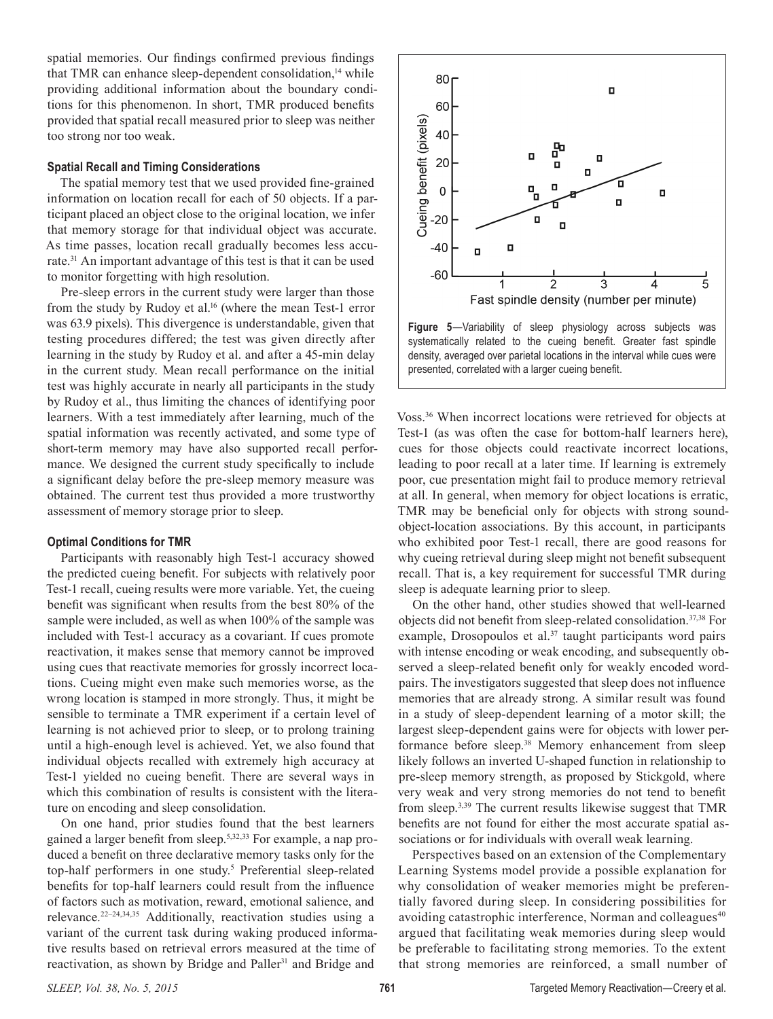spatial memories. Our findings confirmed previous findings that TMR can enhance sleep-dependent consolidation, $14$  while providing additional information about the boundary conditions for this phenomenon. In short, TMR produced benefits provided that spatial recall measured prior to sleep was neither too strong nor too weak.

#### **Spatial Recall and Timing Considerations**

The spatial memory test that we used provided fine-grained information on location recall for each of 50 objects. If a participant placed an object close to the original location, we infer that memory storage for that individual object was accurate. As time passes, location recall gradually becomes less accurate.31 An important advantage of this test is that it can be used to monitor forgetting with high resolution.

Pre-sleep errors in the current study were larger than those from the study by Rudoy et al.16 (where the mean Test-1 error was 63.9 pixels). This divergence is understandable, given that testing procedures differed; the test was given directly after learning in the study by Rudoy et al. and after a 45-min delay in the current study. Mean recall performance on the initial test was highly accurate in nearly all participants in the study by Rudoy et al., thus limiting the chances of identifying poor learners. With a test immediately after learning, much of the spatial information was recently activated, and some type of short-term memory may have also supported recall performance. We designed the current study specifically to include a significant delay before the pre-sleep memory measure was obtained. The current test thus provided a more trustworthy assessment of memory storage prior to sleep.

# **Optimal Conditions for TMR**

Participants with reasonably high Test-1 accuracy showed the predicted cueing benefit. For subjects with relatively poor Test-1 recall, cueing results were more variable. Yet, the cueing benefit was significant when results from the best 80% of the sample were included, as well as when 100% of the sample was included with Test-1 accuracy as a covariant. If cues promote reactivation, it makes sense that memory cannot be improved using cues that reactivate memories for grossly incorrect locations. Cueing might even make such memories worse, as the wrong location is stamped in more strongly. Thus, it might be sensible to terminate a TMR experiment if a certain level of learning is not achieved prior to sleep, or to prolong training until a high-enough level is achieved. Yet, we also found that individual objects recalled with extremely high accuracy at Test-1 yielded no cueing benefit. There are several ways in which this combination of results is consistent with the literature on encoding and sleep consolidation.

On one hand, prior studies found that the best learners gained a larger benefit from sleep.5,32,33 For example, a nap produced a benefit on three declarative memory tasks only for the top-half performers in one study.<sup>5</sup> Preferential sleep-related benefits for top-half learners could result from the influence of factors such as motivation, reward, emotional salience, and relevance.22–24,34,35 Additionally, reactivation studies using a variant of the current task during waking produced informative results based on retrieval errors measured at the time of reactivation, as shown by Bridge and Paller<sup>31</sup> and Bridge and



**Figure 5**—Variability of sleep physiology across subjects was systematically related to the cueing benefit. Greater fast spindle density, averaged over parietal locations in the interval while cues were presented, correlated with a larger cueing benefit.

Voss.36 When incorrect locations were retrieved for objects at Test-1 (as was often the case for bottom-half learners here), cues for those objects could reactivate incorrect locations, leading to poor recall at a later time. If learning is extremely poor, cue presentation might fail to produce memory retrieval at all. In general, when memory for object locations is erratic, TMR may be beneficial only for objects with strong soundobject-location associations. By this account, in participants who exhibited poor Test-1 recall, there are good reasons for why cueing retrieval during sleep might not benefit subsequent recall. That is, a key requirement for successful TMR during sleep is adequate learning prior to sleep.

On the other hand, other studies showed that well-learned objects did not benefit from sleep-related consolidation.37,38 For example, Drosopoulos et al.<sup>37</sup> taught participants word pairs with intense encoding or weak encoding, and subsequently observed a sleep-related benefit only for weakly encoded wordpairs. The investigators suggested that sleep does not influence memories that are already strong. A similar result was found in a study of sleep-dependent learning of a motor skill; the largest sleep-dependent gains were for objects with lower performance before sleep.<sup>38</sup> Memory enhancement from sleep likely follows an inverted U-shaped function in relationship to pre-sleep memory strength, as proposed by Stickgold, where very weak and very strong memories do not tend to benefit from sleep.3,39 The current results likewise suggest that TMR benefits are not found for either the most accurate spatial associations or for individuals with overall weak learning.

Perspectives based on an extension of the Complementary Learning Systems model provide a possible explanation for why consolidation of weaker memories might be preferentially favored during sleep. In considering possibilities for avoiding catastrophic interference, Norman and colleagues $40$ argued that facilitating weak memories during sleep would be preferable to facilitating strong memories. To the extent that strong memories are reinforced, a small number of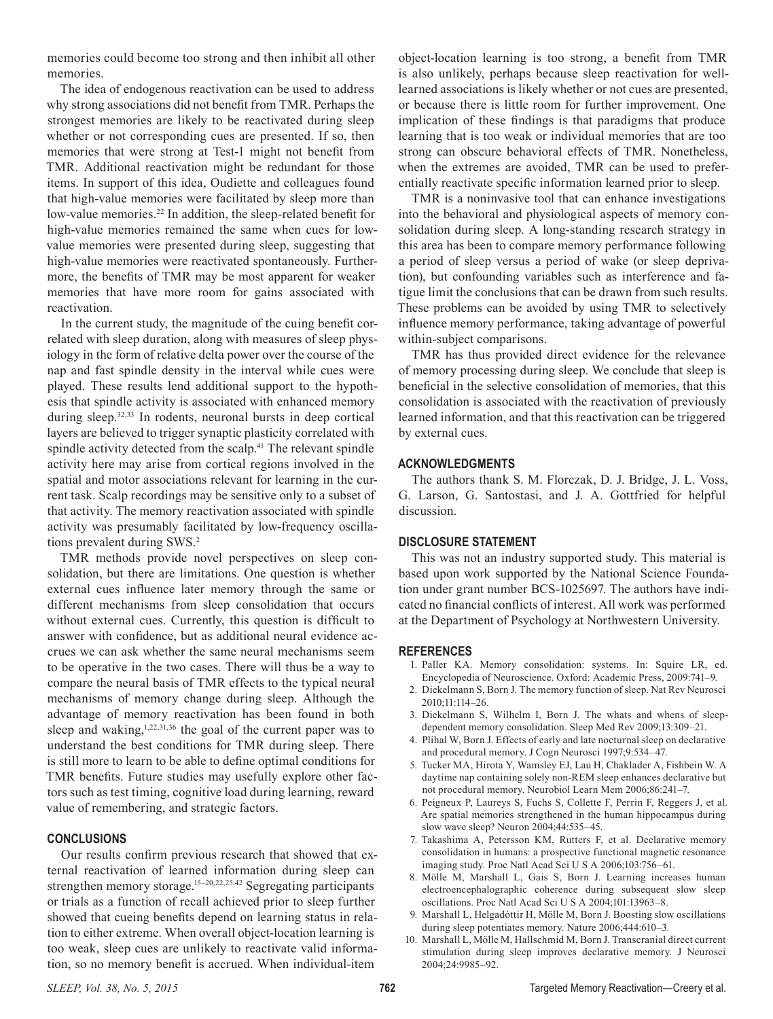memories could become too strong and then inhibit all other memories.

The idea of endogenous reactivation can be used to address why strong associations did not benefit from TMR. Perhaps the strongest memories are likely to be reactivated during sleep whether or not corresponding cues are presented. If so, then memories that were strong at Test-1 might not benefit from TMR. Additional reactivation might be redundant for those items. In support of this idea, Oudiette and colleagues found that high-value memories were facilitated by sleep more than low-value memories.<sup>22</sup> In addition, the sleep-related benefit for high-value memories remained the same when cues for lowvalue memories were presented during sleep, suggesting that high-value memories were reactivated spontaneously. Furthermore, the benefits of TMR may be most apparent for weaker memories that have more room for gains associated with reactivation.

In the current study, the magnitude of the cuing benefit correlated with sleep duration, along with measures of sleep physiology in the form of relative delta power over the course of the nap and fast spindle density in the interval while cues were played. These results lend additional support to the hypothesis that spindle activity is associated with enhanced memory during sleep.<sup>32,33</sup> In rodents, neuronal bursts in deep cortical layers are believed to trigger synaptic plasticity correlated with spindle activity detected from the scalp.<sup>41</sup> The relevant spindle activity here may arise from cortical regions involved in the spatial and motor associations relevant for learning in the current task. Scalp recordings may be sensitive only to a subset of that activity. The memory reactivation associated with spindle activity was presumably facilitated by low-frequency oscillations prevalent during SWS.2

TMR methods provide novel perspectives on sleep consolidation, but there are limitations. One question is whether external cues influence later memory through the same or different mechanisms from sleep consolidation that occurs without external cues. Currently, this question is difficult to answer with confidence, but as additional neural evidence accrues we can ask whether the same neural mechanisms seem to be operative in the two cases. There will thus be a way to compare the neural basis of TMR effects to the typical neural mechanisms of memory change during sleep. Although the advantage of memory reactivation has been found in both sleep and waking, $1,22,31,36$  the goal of the current paper was to understand the best conditions for TMR during sleep. There is still more to learn to be able to define optimal conditions for TMR benefits. Future studies may usefully explore other factors such as test timing, cognitive load during learning, reward value of remembering, and strategic factors.

# **CONCLUSIONS**

Our results confirm previous research that showed that external reactivation of learned information during sleep can strengthen memory storage.15–20,22,25,42 Segregating participants or trials as a function of recall achieved prior to sleep further showed that cueing benefits depend on learning status in relation to either extreme. When overall object-location learning is too weak, sleep cues are unlikely to reactivate valid information, so no memory benefit is accrued. When individual-item

object-location learning is too strong, a benefit from TMR is also unlikely, perhaps because sleep reactivation for welllearned associations is likely whether or not cues are presented, or because there is little room for further improvement. One implication of these findings is that paradigms that produce learning that is too weak or individual memories that are too strong can obscure behavioral effects of TMR. Nonetheless, when the extremes are avoided, TMR can be used to preferentially reactivate specific information learned prior to sleep.

TMR is a noninvasive tool that can enhance investigations into the behavioral and physiological aspects of memory consolidation during sleep. A long-standing research strategy in this area has been to compare memory performance following a period of sleep versus a period of wake (or sleep deprivation), but confounding variables such as interference and fatigue limit the conclusions that can be drawn from such results. These problems can be avoided by using TMR to selectively influence memory performance, taking advantage of powerful within-subject comparisons.

TMR has thus provided direct evidence for the relevance of memory processing during sleep. We conclude that sleep is beneficial in the selective consolidation of memories, that this consolidation is associated with the reactivation of previously learned information, and that this reactivation can be triggered by external cues.

# **ACKNOWLEDGMENTS**

The authors thank S. M. Florczak, D. J. Bridge, J. L. Voss, G. Larson, G. Santostasi, and J. A. Gottfried for helpful discussion.

# **DISCLOSURE STATEMENT**

This was not an industry supported study. This material is based upon work supported by the National Science Foundation under grant number BCS-1025697. The authors have indicated no financial conflicts of interest. All work was performed at the Department of Psychology at Northwestern University.

# **REFERENCES**

- 1. Paller KA. Memory consolidation: systems. In: Squire LR, ed. Encyclopedia of Neuroscience. Oxford: Academic Press, 2009:741–9.
- 2. Diekelmann S, Born J. The memory function of sleep. Nat Rev Neurosci 2010;11:114–26.
- 3. Diekelmann S, Wilhelm I, Born J. The whats and whens of sleepdependent memory consolidation. Sleep Med Rev 2009;13:309–21.
- 4. Plihal W, Born J. Effects of early and late nocturnal sleep on declarative and procedural memory. J Cogn Neurosci 1997;9:534–47.
- 5. Tucker MA, Hirota Y, Wamsley EJ, Lau H, Chaklader A, Fishbein W. A daytime nap containing solely non-REM sleep enhances declarative but not procedural memory. Neurobiol Learn Mem 2006;86:241–7.
- 6. Peigneux P, Laureys S, Fuchs S, Collette F, Perrin F, Reggers J, et al. Are spatial memories strengthened in the human hippocampus during slow wave sleep? Neuron 2004;44:535–45.
- 7. Takashima A, Petersson KM, Rutters F, et al. Declarative memory consolidation in humans: a prospective functional magnetic resonance imaging study. Proc Natl Acad Sci U S A 2006;103:756–61.
- 8. Mölle M, Marshall L, Gais S, Born J. Learning increases human electroencephalographic coherence during subsequent slow sleep oscillations. Proc Natl Acad Sci U S A 2004;101:13963–8.
- 9. Marshall L, Helgadóttir H, Mölle M, Born J. Boosting slow oscillations during sleep potentiates memory. Nature 2006;444:610–3.
- 10. Marshall L, Mölle M, Hallschmid M, Born J. Transcranial direct current stimulation during sleep improves declarative memory. J Neurosci 2004;24:9985–92.